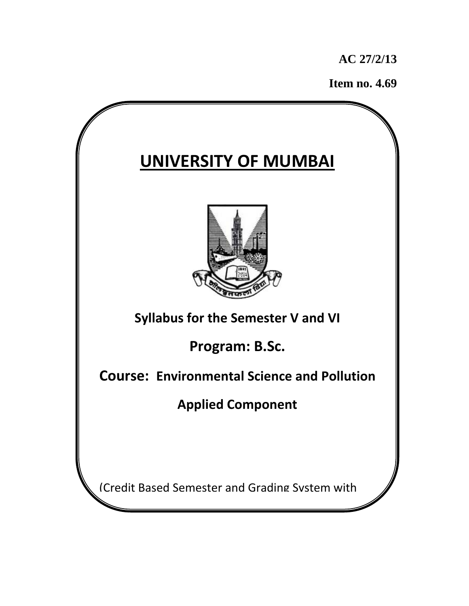**AC 27/2/13** 

 **Item no. 4.69** 

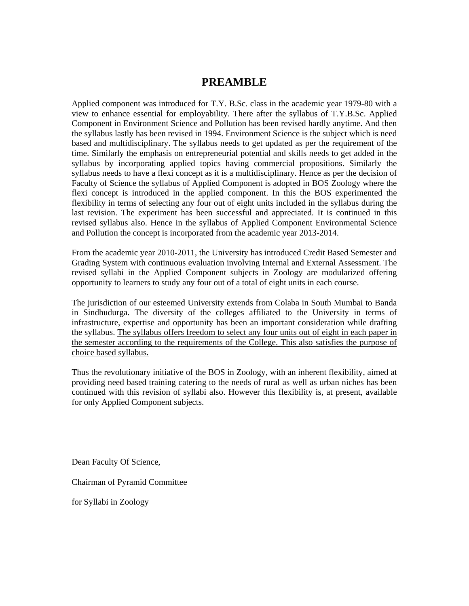# **PREAMBLE**

Applied component was introduced for T.Y. B.Sc. class in the academic year 1979-80 with a view to enhance essential for employability. There after the syllabus of T.Y.B.Sc. Applied Component in Environment Science and Pollution has been revised hardly anytime. And then the syllabus lastly has been revised in 1994. Environment Science is the subject which is need based and multidisciplinary. The syllabus needs to get updated as per the requirement of the time. Similarly the emphasis on entrepreneurial potential and skills needs to get added in the syllabus by incorporating applied topics having commercial propositions. Similarly the syllabus needs to have a flexi concept as it is a multidisciplinary. Hence as per the decision of Faculty of Science the syllabus of Applied Component is adopted in BOS Zoology where the flexi concept is introduced in the applied component. In this the BOS experimented the flexibility in terms of selecting any four out of eight units included in the syllabus during the last revision. The experiment has been successful and appreciated. It is continued in this revised syllabus also. Hence in the syllabus of Applied Component Environmental Science and Pollution the concept is incorporated from the academic year 2013-2014.

From the academic year 2010-2011, the University has introduced Credit Based Semester and Grading System with continuous evaluation involving Internal and External Assessment. The revised syllabi in the Applied Component subjects in Zoology are modularized offering opportunity to learners to study any four out of a total of eight units in each course.

The jurisdiction of our esteemed University extends from Colaba in South Mumbai to Banda in Sindhudurga. The diversity of the colleges affiliated to the University in terms of infrastructure, expertise and opportunity has been an important consideration while drafting the syllabus. The syllabus offers freedom to select any four units out of eight in each paper in the semester according to the requirements of the College. This also satisfies the purpose of choice based syllabus.

Thus the revolutionary initiative of the BOS in Zoology, with an inherent flexibility, aimed at providing need based training catering to the needs of rural as well as urban niches has been continued with this revision of syllabi also. However this flexibility is, at present, available for only Applied Component subjects.

Dean Faculty Of Science,

Chairman of Pyramid Committee

for Syllabi in Zoology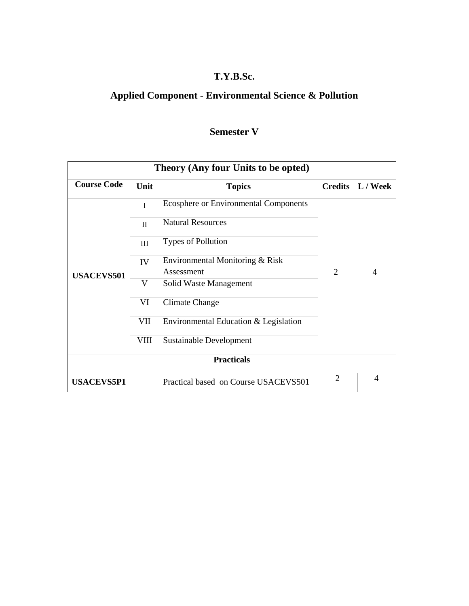# **T.Y.B.Sc.**

# **Applied Component - Environmental Science & Pollution**

# **Semester V**

| Theory (Any four Units to be opted) |              |                                               |                |                |  |  |  |
|-------------------------------------|--------------|-----------------------------------------------|----------------|----------------|--|--|--|
| <b>Course Code</b>                  | Unit         | <b>Topics</b>                                 | <b>Credits</b> | L / Week       |  |  |  |
| <b>USACEVS501</b>                   | $\mathbf I$  | <b>Ecosphere or Environmental Components</b>  |                |                |  |  |  |
|                                     | $\mathbf{I}$ | <b>Natural Resources</b>                      |                |                |  |  |  |
|                                     | Ш            | <b>Types of Pollution</b>                     |                |                |  |  |  |
|                                     | IV           | Environmental Monitoring & Risk<br>Assessment | $\overline{2}$ | $\overline{4}$ |  |  |  |
|                                     | V            | Solid Waste Management                        |                |                |  |  |  |
|                                     | VI           | Climate Change                                |                |                |  |  |  |
|                                     | VII          | Environmental Education & Legislation         |                |                |  |  |  |
|                                     | VIII         | Sustainable Development                       |                |                |  |  |  |
| <b>Practicals</b>                   |              |                                               |                |                |  |  |  |
| <b>USACEVS5P1</b>                   |              | Practical based on Course USACEVS501          | $\overline{2}$ | 4              |  |  |  |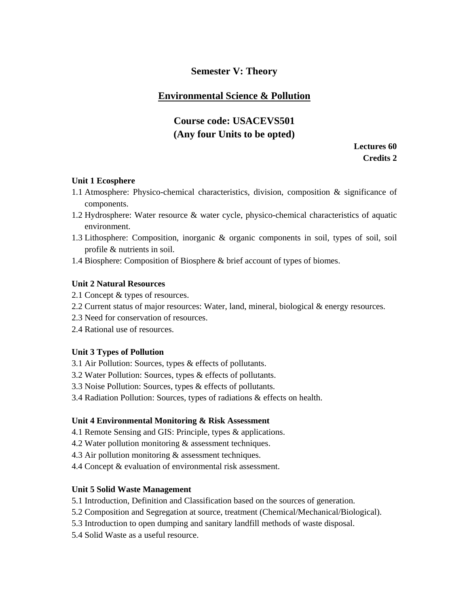## **Semester V: Theory**

## **Environmental Science & Pollution**

# **Course code: USACEVS501 (Any four Units to be opted)**

**Lectures 60 Credits 2** 

### **Unit 1 Ecosphere**

- 1.1 Atmosphere: Physico-chemical characteristics, division, composition & significance of components.
- 1.2 Hydrosphere: Water resource & water cycle, physico-chemical characteristics of aquatic environment.
- 1.3 Lithosphere: Composition, inorganic & organic components in soil, types of soil, soil profile & nutrients in soil.
- 1.4 Biosphere: Composition of Biosphere & brief account of types of biomes.

### **Unit 2 Natural Resources**

- 2.1 Concept & types of resources.
- 2.2 Current status of major resources: Water, land, mineral, biological & energy resources.
- 2.3 Need for conservation of resources.
- 2.4 Rational use of resources.

### **Unit 3 Types of Pollution**

- 3.1 Air Pollution: Sources, types & effects of pollutants.
- 3.2 Water Pollution: Sources, types & effects of pollutants.
- 3.3 Noise Pollution: Sources, types & effects of pollutants.
- 3.4 Radiation Pollution: Sources, types of radiations & effects on health.

### **Unit 4 Environmental Monitoring & Risk Assessment**

- 4.1 Remote Sensing and GIS: Principle, types & applications.
- 4.2 Water pollution monitoring & assessment techniques.
- 4.3 Air pollution monitoring & assessment techniques.
- 4.4 Concept & evaluation of environmental risk assessment.

### **Unit 5 Solid Waste Management**

- 5.1 Introduction, Definition and Classification based on the sources of generation.
- 5.2 Composition and Segregation at source, treatment (Chemical/Mechanical/Biological).
- 5.3 Introduction to open dumping and sanitary landfill methods of waste disposal.
- 5.4 Solid Waste as a useful resource.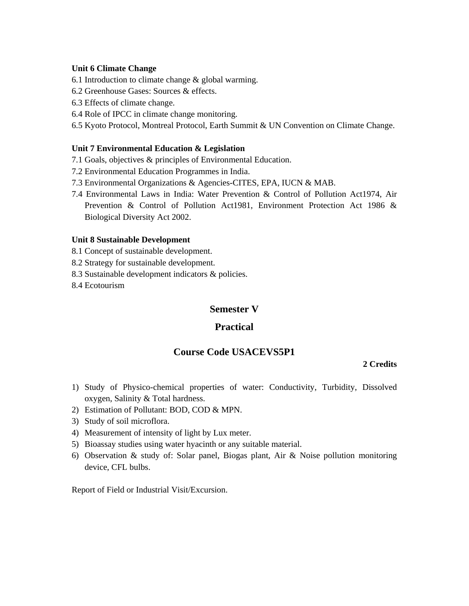#### **Unit 6 Climate Change**

- 6.1 Introduction to climate change & global warming.
- 6.2 Greenhouse Gases: Sources & effects.
- 6.3 Effects of climate change.
- 6.4 Role of IPCC in climate change monitoring.
- 6.5 Kyoto Protocol, Montreal Protocol, Earth Summit & UN Convention on Climate Change.

### **Unit 7 Environmental Education & Legislation**

- 7.1 Goals, objectives & principles of Environmental Education.
- 7.2 Environmental Education Programmes in India.
- 7.3 Environmental Organizations & Agencies-CITES, EPA, IUCN & MAB.
- 7.4 Environmental Laws in India: Water Prevention & Control of Pollution Act1974, Air Prevention & Control of Pollution Act1981, Environment Protection Act 1986 & Biological Diversity Act 2002.

### **Unit 8 Sustainable Development**

- 8.1 Concept of sustainable development.
- 8.2 Strategy for sustainable development.
- 8.3 Sustainable development indicators & policies.
- 8.4 Ecotourism

### **Semester V**

### **Practical**

## **Course Code USACEVS5P1**

#### **2 Credits**

- 1) Study of Physico-chemical properties of water: Conductivity, Turbidity, Dissolved oxygen, Salinity & Total hardness.
- 2) Estimation of Pollutant: BOD, COD & MPN.
- 3) Study of soil microflora.
- 4) Measurement of intensity of light by Lux meter.
- 5) Bioassay studies using water hyacinth or any suitable material.
- 6) Observation & study of: Solar panel, Biogas plant, Air & Noise pollution monitoring device, CFL bulbs.

Report of Field or Industrial Visit/Excursion.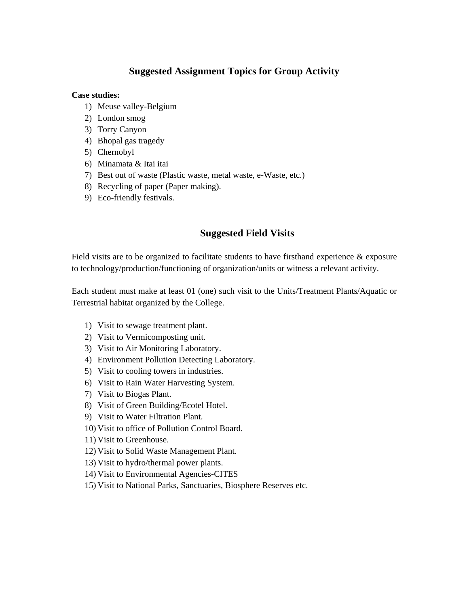# **Suggested Assignment Topics for Group Activity**

### **Case studies:**

- 1) Meuse valley-Belgium
- 2) London smog
- 3) Torry Canyon
- 4) Bhopal gas tragedy
- 5) Chernobyl
- 6) Minamata & Itai itai
- 7) Best out of waste (Plastic waste, metal waste, e-Waste, etc.)
- 8) Recycling of paper (Paper making).
- 9) Eco-friendly festivals.

# **Suggested Field Visits**

Field visits are to be organized to facilitate students to have firsthand experience & exposure to technology/production/functioning of organization/units or witness a relevant activity.

Each student must make at least 01 (one) such visit to the Units/Treatment Plants/Aquatic or Terrestrial habitat organized by the College.

- 1) Visit to sewage treatment plant.
- 2) Visit to Vermicomposting unit.
- 3) Visit to Air Monitoring Laboratory.
- 4) Environment Pollution Detecting Laboratory.
- 5) Visit to cooling towers in industries.
- 6) Visit to Rain Water Harvesting System.
- 7) Visit to Biogas Plant.
- 8) Visit of Green Building/Ecotel Hotel.
- 9) Visit to Water Filtration Plant.
- 10) Visit to office of Pollution Control Board.
- 11) Visit to Greenhouse.
- 12) Visit to Solid Waste Management Plant.
- 13) Visit to hydro/thermal power plants.
- 14) Visit to Environmental Agencies-CITES
- 15) Visit to National Parks, Sanctuaries, Biosphere Reserves etc.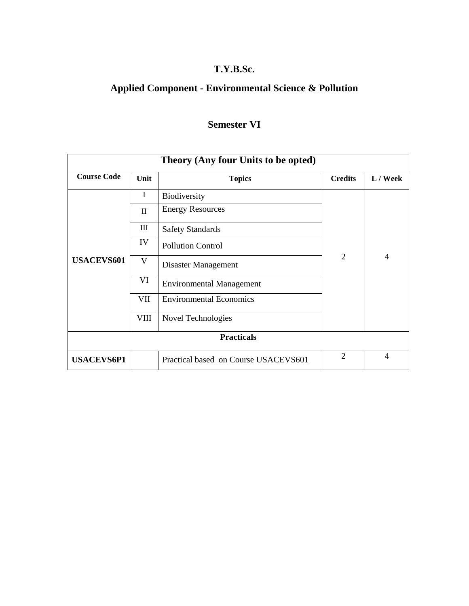# **T.Y.B.Sc.**

# **Applied Component - Environmental Science & Pollution**

# **Semester VI**

| Theory (Any four Units to be opted) |              |                                      |                |                |  |  |  |
|-------------------------------------|--------------|--------------------------------------|----------------|----------------|--|--|--|
| <b>Course Code</b>                  | Unit         | <b>Topics</b>                        | <b>Credits</b> | L / Week       |  |  |  |
| <b>USACEVS601</b>                   | I            | <b>Biodiversity</b>                  | $\overline{2}$ | $\overline{4}$ |  |  |  |
|                                     | II           | <b>Energy Resources</b>              |                |                |  |  |  |
|                                     | Ш            | <b>Safety Standards</b>              |                |                |  |  |  |
|                                     | IV           | <b>Pollution Control</b>             |                |                |  |  |  |
|                                     | $\mathbf{V}$ | Disaster Management                  |                |                |  |  |  |
|                                     | VI           | <b>Environmental Management</b>      |                |                |  |  |  |
|                                     | VII          | <b>Environmental Economics</b>       |                |                |  |  |  |
|                                     | VIII         | Novel Technologies                   |                |                |  |  |  |
| <b>Practicals</b>                   |              |                                      |                |                |  |  |  |
| <b>USACEVS6P1</b>                   |              | Practical based on Course USACEVS601 | $\overline{2}$ | 4              |  |  |  |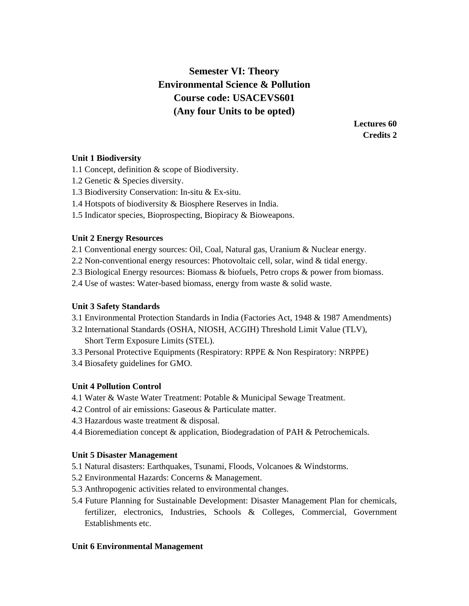# **Semester VI: Theory Environmental Science & Pollution Course code: USACEVS601 (Any four Units to be opted)**

**Lectures 60 Credits 2** 

### **Unit 1 Biodiversity**

- 1.1 Concept, definition & scope of Biodiversity.
- 1.2 Genetic & Species diversity.
- 1.3 Biodiversity Conservation: In-situ & Ex-situ.
- 1.4 Hotspots of biodiversity & Biosphere Reserves in India.
- 1.5 Indicator species, Bioprospecting, Biopiracy & Bioweapons.

### **Unit 2 Energy Resources**

- 2.1 Conventional energy sources: Oil, Coal, Natural gas, Uranium & Nuclear energy.
- 2.2 Non-conventional energy resources: Photovoltaic cell, solar, wind & tidal energy.
- 2.3 Biological Energy resources: Biomass & biofuels, Petro crops & power from biomass.
- 2.4 Use of wastes: Water-based biomass, energy from waste & solid waste.

### **Unit 3 Safety Standards**

- 3.1 Environmental Protection Standards in India (Factories Act, 1948 & 1987 Amendments)
- 3.2 International Standards (OSHA, NIOSH, ACGIH) Threshold Limit Value (TLV), Short Term Exposure Limits (STEL).
- 3.3 Personal Protective Equipments (Respiratory: RPPE & Non Respiratory: NRPPE)
- 3.4 Biosafety guidelines for GMO.

### **Unit 4 Pollution Control**

- 4.1 Water & Waste Water Treatment: Potable & Municipal Sewage Treatment.
- 4.2 Control of air emissions: Gaseous & Particulate matter.
- 4.3 Hazardous waste treatment & disposal.
- 4.4 Bioremediation concept & application, Biodegradation of PAH & Petrochemicals.

### **Unit 5 Disaster Management**

- 5.1 Natural disasters: Earthquakes, Tsunami, Floods, Volcanoes & Windstorms.
- 5.2 Environmental Hazards: Concerns & Management.
- 5.3 Anthropogenic activities related to environmental changes.
- 5.4 Future Planning for Sustainable Development: Disaster Management Plan for chemicals, fertilizer, electronics, Industries, Schools & Colleges, Commercial, Government Establishments etc.

### **Unit 6 Environmental Management**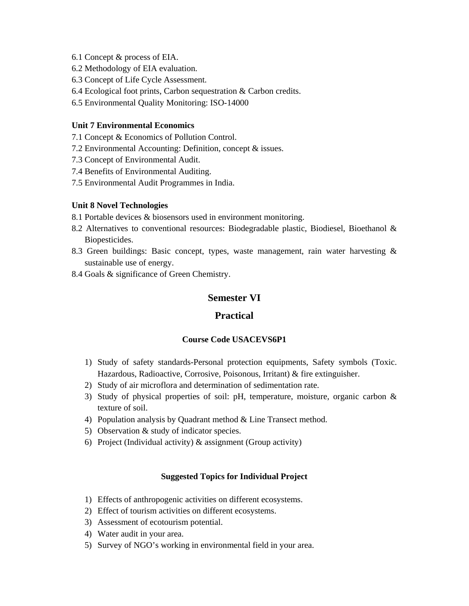- 6.1 Concept & process of EIA.
- 6.2 Methodology of EIA evaluation.
- 6.3 Concept of Life Cycle Assessment.
- 6.4 Ecological foot prints, Carbon sequestration & Carbon credits.
- 6.5 Environmental Quality Monitoring: ISO-14000

### **Unit 7 Environmental Economics**

- 7.1 Concept & Economics of Pollution Control.
- 7.2 Environmental Accounting: Definition, concept & issues.
- 7.3 Concept of Environmental Audit.
- 7.4 Benefits of Environmental Auditing.
- 7.5 Environmental Audit Programmes in India.

### **Unit 8 Novel Technologies**

- 8.1 Portable devices & biosensors used in environment monitoring.
- 8.2 Alternatives to conventional resources: Biodegradable plastic, Biodiesel, Bioethanol & Biopesticides.
- 8.3 Green buildings: Basic concept, types, waste management, rain water harvesting & sustainable use of energy.
- 8.4 Goals & significance of Green Chemistry.

## **Semester VI**

### **Practical**

### **Course Code USACEVS6P1**

- 1) Study of safety standards-Personal protection equipments, Safety symbols (Toxic. Hazardous, Radioactive, Corrosive, Poisonous, Irritant) & fire extinguisher.
- 2) Study of air microflora and determination of sedimentation rate.
- 3) Study of physical properties of soil: pH, temperature, moisture, organic carbon & texture of soil.
- 4) Population analysis by Quadrant method & Line Transect method.
- 5) Observation & study of indicator species.
- 6) Project (Individual activity) & assignment (Group activity)

### **Suggested Topics for Individual Project**

- 1) Effects of anthropogenic activities on different ecosystems.
- 2) Effect of tourism activities on different ecosystems.
- 3) Assessment of ecotourism potential.
- 4) Water audit in your area.
- 5) Survey of NGO's working in environmental field in your area.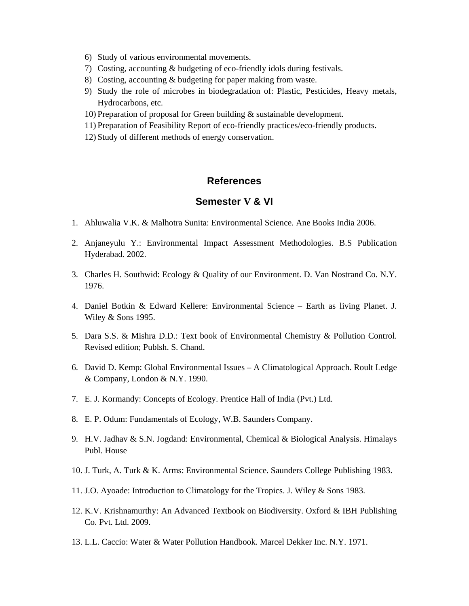- 6) Study of various environmental movements.
- 7) Costing, accounting & budgeting of eco-friendly idols during festivals.
- 8) Costing, accounting & budgeting for paper making from waste.
- 9) Study the role of microbes in biodegradation of: Plastic, Pesticides, Heavy metals, Hydrocarbons, etc.
- 10) Preparation of proposal for Green building & sustainable development.
- 11) Preparation of Feasibility Report of eco-friendly practices/eco-friendly products.
- 12) Study of different methods of energy conservation.

## **References**

## **Semester V & VI**

- 1. Ahluwalia V.K. & Malhotra Sunita: Environmental Science. Ane Books India 2006.
- 2. Anjaneyulu Y.: Environmental Impact Assessment Methodologies. B.S Publication Hyderabad. 2002.
- 3. Charles H. Southwid: Ecology & Quality of our Environment. D. Van Nostrand Co. N.Y. 1976.
- 4. Daniel Botkin & Edward Kellere: Environmental Science Earth as living Planet. J. Wiley & Sons 1995.
- 5. Dara S.S. & Mishra D.D.: Text book of Environmental Chemistry & Pollution Control. Revised edition; Publsh. S. Chand.
- 6. David D. Kemp: Global Environmental Issues A Climatological Approach. Roult Ledge & Company, London & N.Y. 1990.
- 7. E. J. Kormandy: Concepts of Ecology. Prentice Hall of India (Pvt.) Ltd.
- 8. E. P. Odum: Fundamentals of Ecology, W.B. Saunders Company.
- 9. H.V. Jadhav & S.N. Jogdand: Environmental, Chemical & Biological Analysis. Himalays Publ. House
- 10. J. Turk, A. Turk & K. Arms: Environmental Science. Saunders College Publishing 1983.
- 11. J.O. Ayoade: Introduction to Climatology for the Tropics. J. Wiley & Sons 1983.
- 12. K.V. Krishnamurthy: An Advanced Textbook on Biodiversity. Oxford & IBH Publishing Co. Pvt. Ltd. 2009.
- 13. L.L. Caccio: Water & Water Pollution Handbook. Marcel Dekker Inc. N.Y. 1971.